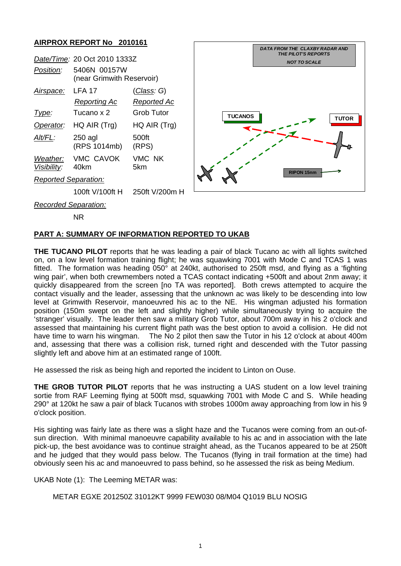## **AIRPROX REPORT No 2010161**



NR

## **PART A: SUMMARY OF INFORMATION REPORTED TO UKAB**

**THE TUCANO PILOT** reports that he was leading a pair of black Tucano ac with all lights switched on, on a low level formation training flight; he was squawking 7001 with Mode C and TCAS 1 was fitted. The formation was heading 050° at 240kt, authorised to 250ft msd, and flying as a 'fighting wing pair', when both crewmembers noted a TCAS contact indicating +500ft and about 2nm away; it quickly disappeared from the screen [no TA was reported]. Both crews attempted to acquire the contact visually and the leader, assessing that the unknown ac was likely to be descending into low level at Grimwith Reservoir, manoeuvred his ac to the NE. His wingman adjusted his formation position (150m swept on the left and slightly higher) while simultaneously trying to acquire the 'stranger' visually. The leader then saw a military Grob Tutor, about 700m away in his 2 o'clock and assessed that maintaining his current flight path was the best option to avoid a collision. He did not have time to warn his wingman. The No 2 pilot then saw the Tutor in his 12 o'clock at about 400m and, assessing that there was a collision risk, turned right and descended with the Tutor passing slightly left and above him at an estimated range of 100ft.

He assessed the risk as being high and reported the incident to Linton on Ouse.

**THE GROB TUTOR PILOT** reports that he was instructing a UAS student on a low level training sortie from RAF Leeming flying at 500ft msd, squawking 7001 with Mode C and S. While heading 290° at 120kt he saw a pair of black Tucanos with strobes 1000m away approaching from low in his 9 o'clock position.

His sighting was fairly late as there was a slight haze and the Tucanos were coming from an out-ofsun direction. With minimal manoeuvre capability available to his ac and in association with the late pick-up, the best avoidance was to continue straight ahead, as the Tucanos appeared to be at 250ft and he judged that they would pass below. The Tucanos (flying in trail formation at the time) had obviously seen his ac and manoeuvred to pass behind, so he assessed the risk as being Medium.

UKAB Note (1): The Leeming METAR was:

METAR EGXE 201250Z 31012KT 9999 FEW030 08/M04 Q1019 BLU NOSIG